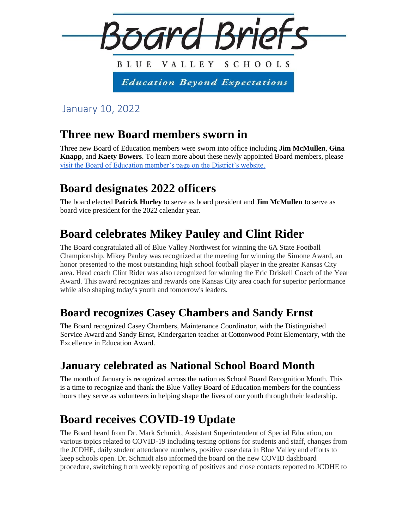

January 10, 2022

### **Three new Board members sworn in**

Three new Board of Education members were sworn into office including **Jim McMullen**, **Gina Knapp**, and **Kaety Bowers**. To learn more about these newly appointed Board members, please [visit the Board of Education member's page on the District's website.](https://www.bluevalleyk12.org/Page/34287) 

# **Board designates 2022 officers**

The board elected **Patrick Hurley** to serve as board president and **Jim McMullen** to serve as board vice president for the 2022 calendar year.

# **Board celebrates Mikey Pauley and Clint Rider**

The Board congratulated all of Blue Valley Northwest for winning the 6A State Football Championship. Mikey Pauley was recognized at the meeting for winning the Simone Award, an honor presented to the most outstanding high school football player in the greater Kansas City area. Head coach Clint Rider was also recognized for winning the Eric Driskell Coach of the Year Award. This award recognizes and rewards one Kansas City area coach for superior performance while also shaping today's youth and tomorrow's leaders.

#### **Board recognizes Casey Chambers and Sandy Ernst**

The Board recognized Casey Chambers, Maintenance Coordinator, with the Distinguished Service Award and Sandy Ernst, Kindergarten teacher at Cottonwood Point Elementary, with the Excellence in Education Award.

### **January celebrated as National School Board Month**

The month of January is recognized across the nation as School Board Recognition Month. This is a time to recognize and thank the Blue Valley Board of Education members for the countless hours they serve as volunteers in helping shape the lives of our youth through their leadership.

# **Board receives COVID-19 Update**

The Board heard from Dr. Mark Schmidt, Assistant Superintendent of Special Education, on various topics related to COVID-19 including testing options for students and staff, changes from the JCDHE, daily student attendance numbers, positive case data in Blue Valley and efforts to keep schools open. Dr. Schmidt also informed the board on the new COVID dashboard procedure, switching from weekly reporting of positives and close contacts reported to JCDHE to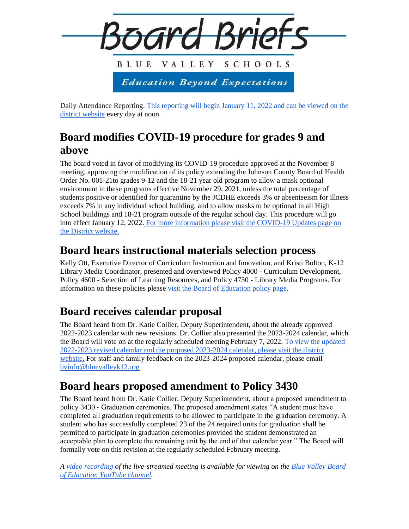

Daily Attendance Reporting. [This reporting will begin January 11, 2022 and can be viewed on the](https://www.bluevalleyk12.org/Page/36026)  [district website](https://www.bluevalleyk12.org/Page/36026) every day at noon.

### **Board modifies COVID-19 procedure for grades 9 and above**

The board voted in favor of modifying its COVID-19 procedure approved at the November 8 meeting, approving the modification of its policy extending the Johnson County Board of Health Order No. 001-21to grades 9-12 and the 18-21 year old program to allow a mask optional environment in these programs effective November 29, 2021, unless the total percentage of students positive or identified for quarantine by the JCDHE exceeds 3% or absenteeism for illness exceeds 7% in any individual school building, and to allow masks to be optional in all High School buildings and 18-21 program outside of the regular school day. This procedure will go into effect January 12, 2022. [For more information please visit the COVID-19 Updates page on](https://www.bluevalleyk12.org/domain/5584)  [the District website.](https://www.bluevalleyk12.org/domain/5584) 

#### **Board hears instructional materials selection process**

Kelly Ott, Executive Director of Curriculum Instruction and Innovation, and Kristi Bolton, K-12 Library Media Coordinator, presented and overviewed Policy 4000 - Curriculum Development, Policy 4600 - Selection of Learning Resources, and Policy 4730 - Library Media Programs. For information on these policies please [visit the Board of Education policy page.](https://go.boarddocs.com/ks/usd229/Board.nsf/Public?open&id=policies)

### **Board receives calendar proposal**

The Board heard from Dr. Katie Collier, Deputy Superintendent, about the already approved 2022-2023 calendar with new revisions. Dr. Collier also presented the 2023-2024 calendar, which the Board will vote on at the regularly scheduled meeting February 7, 2022. [To view the updated](https://www.bluevalleyk12.org/Page/10#calendar38346/20220111/month)  [2022-2023 revised calendar and the proposed 2023-2024 calendar, please visit the district](https://www.bluevalleyk12.org/Page/10#calendar38346/20220111/month)  [website.](https://www.bluevalleyk12.org/Page/10#calendar38346/20220111/month) For staff and family feedback on the 2023-2024 proposed calendar, please email [bvinfo@bluevalleyk12.org](mailto:bvinfo@bluevalleyk12.org)

### **Board hears proposed amendment to Policy 3430**

The Board heard from Dr. Katie Collier, Deputy Superintendent, about a proposed amendment to policy 3430 - Graduation ceremonies. The proposed amendment states "A student must have completed all graduation requirements to be allowed to participate in the graduation ceremony. A student who has successfully completed 23 of the 24 required units for graduation shall be permitted to participate in graduation ceremonies provided the student demonstrated an acceptable plan to complete the remaining unit by the end of that calendar year." The Board will formally vote on this revision at the regularly scheduled February meeting.

*A [video recording](https://www.youtube.com/watch?v=cLEukAcjkkE) of the live-streamed meeting is available for viewing on the [Blue Valley Board](https://www.youtube.com/channel/UCSf13_MYde5HeHugZ2TQGAQ/)  [of Education YouTube channel.](https://www.youtube.com/channel/UCSf13_MYde5HeHugZ2TQGAQ/)*